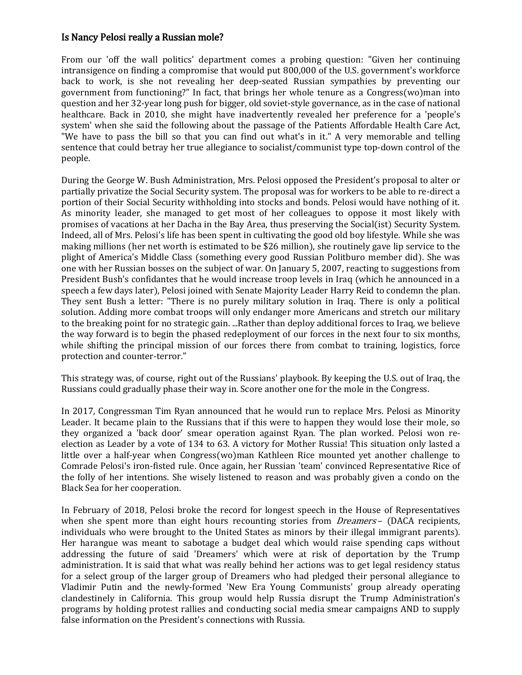## Is Nancy Pelosi really a Russian mole?

From our 'off the wall politics' department comes a probing question: "Given her continuing intransigence on finding a compromise that would put 800,000 of the U.S. government's workforce back to work, is she not revealing her deep-seated Russian sympathies by preventing our government from functioning?" In fact, that brings her whole tenure as a Congress(wo)man into question and her 32-year long push for bigger, old soviet-style governance, as in the case of national healthcare. Back in 2010, she might have inadvertently revealed her preference for a 'people's system' when she said the following about the passage of the Patients Affordable Health Care Act, "We have to pass the bill so that you can find out what's in it." A very memorable and telling sentence that could betray her true allegiance to socialist/communist type top-down control of the people.

During the George W. Bush Administration, Mrs. Pelosi opposed the President's proposal to alter or partially privatize the Social Security system. The proposal was for workers to be able to re-direct a portion of their Social Security withholding into stocks and bonds. Pelosi would have nothing of it. As minority leader, she managed to get most of her colleagues to oppose it most likely with promises of vacations at her Dacha in the Bay Area, thus preserving the Social(ist) Security System. Indeed, all of Mrs. Pelosi's life has been spent in cultivating the good old boy lifestyle. While she was making millions (her net worth is estimated to be \$26 million), she routinely gave lip service to the plight of America's Middle Class (something every good Russian Politburo member did). She was one with her Russian bosses on the subject of war. On January 5, 2007, reacting to suggestions from President Bush's confidantes that he would increase troop levels in Iraq (which he announced in a speech a few days later), Pelosi joined with Senate Majority Leade[r Harry Reid](https://en.wikipedia.org/wiki/Harry_Reid) to condemn the plan. They sent Bush a letter: "There is no purely military solution in Iraq. There is only a political solution. Adding more combat troops will only endanger more Americans and stretch our military to the breaking point for no strategic gain. ...Rather than deploy additional forces to Iraq, we believe the way forward is to begin the phased redeployment of our forces in the next four to six months, while shifting the principal mission of our forces there from combat to training, logistics, force protection and counter-terror."

This strategy was, of course, right out of the Russians' playbook. By keeping the U.S. out of Iraq, the Russians could gradually phase their way in. Score another one for the mole in the Congress.

In 2017, Congressman Tim Ryan announced that he would run to replace Mrs. Pelosi as Minority Leader. It became plain to the Russians that if this were to happen they would lose their mole, so they organized a 'back door' smear operation against Ryan. The plan worked. Pelosi won reelection as Leader by a vote of 134 to 63. A victory for Mother Russia! This situation only lasted a little over a half-year when Congress(wo)man Kathleen Rice mounted yet another challenge to Comrade Pelosi's iron-fisted rule. Once again, her Russian 'team' convinced Representative Rice of the folly of her intentions. She wisely listened to reason and was probably given a condo on the Black Sea for her cooperation.

In February of 2018, Pelosi broke the record for longest speech in the House of Representatives when she spent more than eight hours recounting stories from *[Dreamers](https://en.wikipedia.org/wiki/DREAMers)* – (DACA recipients, individuals who were brought to the United States as minors by their illegal immigrant parents). Her harangue was meant to sabotage a budget deal which would raise spending caps without addressing the future of said 'Dreamers' which were at risk of deportation by the Trump administration. It is said that what was really behind her actions was to get legal residency status for a select group of the larger group of Dreamers who had pledged their personal allegiance to Vladimir Putin and the newly-formed 'New Era Young Communists' group already operating clandestinely in California. This group would help Russia disrupt the Trump Administration's programs by holding protest rallies and conducting social media smear campaigns AND to supply false information on the President's connections with Russia.